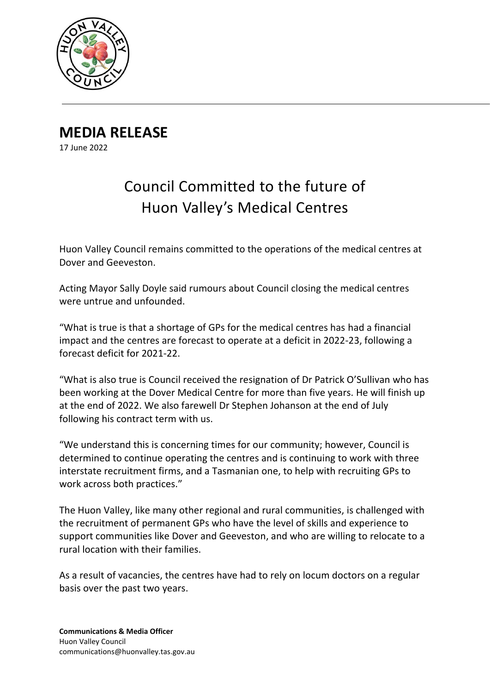

**MEDIA RELEASE** 17 June 2022

## Council Committed to the future of Huon Valley's Medical Centres

Huon Valley Council remains committed to the operations of the medical centres at Dover and Geeveston.

Acting Mayor Sally Doyle said rumours about Council closing the medical centres were untrue and unfounded.

"What is true is that a shortage of GPs for the medical centres has had a financial impact and the centres are forecast to operate at a deficit in 2022-23, following a forecast deficit for 2021-22.

"What is also true is Council received the resignation of Dr Patrick O'Sullivan who has been working at the Dover Medical Centre for more than five years. He will finish up at the end of 2022. We also farewell Dr Stephen Johanson at the end of July following his contract term with us.

"We understand this is concerning times for our community; however, Council is determined to continue operating the centres and is continuing to work with three interstate recruitment firms, and a Tasmanian one, to help with recruiting GPs to work across both practices."

The Huon Valley, like many other regional and rural communities, is challenged with the recruitment of permanent GPs who have the level of skills and experience to support communities like Dover and Geeveston, and who are willing to relocate to a rural location with their families.

As a result of vacancies, the centres have had to rely on locum doctors on a regular basis over the past two years.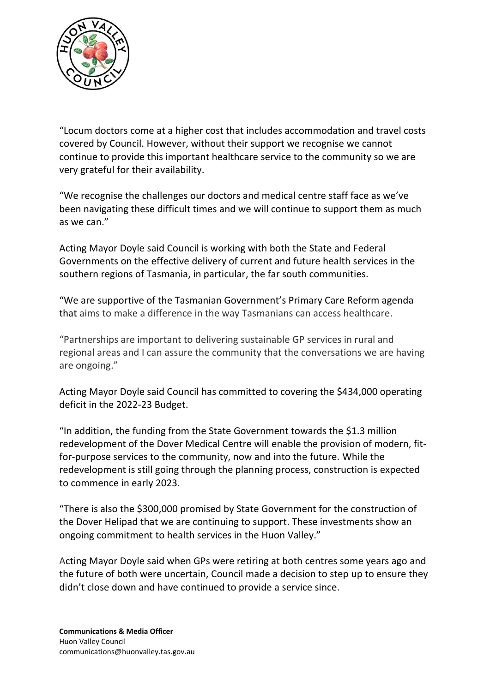

"Locum doctors come at a higher cost that includes accommodation and travel costs covered by Council. However, without their support we recognise we cannot continue to provide this important healthcare service to the community so we are very grateful for their availability.

"We recognise the challenges our doctors and medical centre staff face as we've been navigating these difficult times and we will continue to support them as much as we can."

Acting Mayor Doyle said Council is working with both the State and Federal Governments on the effective delivery of current and future health services in the southern regions of Tasmania, in particular, the far south communities.

"We are supportive of the Tasmanian Government's Primary Care Reform agenda that aims to make a difference in the way Tasmanians can access healthcare.

"Partnerships are important to delivering sustainable GP services in rural and regional areas and I can assure the community that the conversations we are having are ongoing."

Acting Mayor Doyle said Council has committed to covering the \$434,000 operating deficit in the 2022-23 Budget.

"In addition, the funding from the State Government towards the \$1.3 million redevelopment of the Dover Medical Centre will enable the provision of modern, fitfor-purpose services to the community, now and into the future. While the redevelopment is still going through the planning process, construction is expected to commence in early 2023.

"There is also the \$300,000 promised by State Government for the construction of the Dover Helipad that we are continuing to support. These investments show an ongoing commitment to health services in the Huon Valley."

Acting Mayor Doyle said when GPs were retiring at both centres some years ago and the future of both were uncertain, Council made a decision to step up to ensure they didn't close down and have continued to provide a service since.